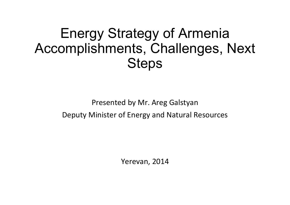#### Energy Strategy of Armenia Accomplishments, Challenges, Next **Steps**

#### Presented by Mr. Areg GalstyanDeputy Minister of Energy and Natural Resources

Yerevan, 2014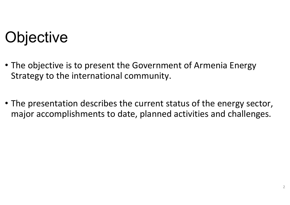# **Objective**

- The objective is to present the Government of Armenia Energy Strategy to the international community.
- The presentation describes the current status of the energy sector, major accomplishments to date, planned activities and challenges.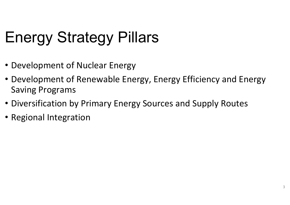# Energy Strategy Pillars

- Development of Nuclear Energy
- Development of Renewable Energy, Energy Efficiency and Energy Saving Programs
- Diversification by Primary Energy Sources and Supply Routes
- Regional Integration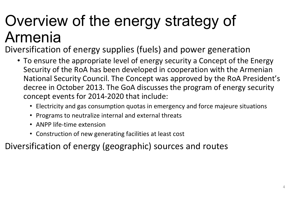# Overview of the energy strategy of Armenia

Diversification of energy supplies (fuels) and power generation

- To ensure the appropriate level of energy security a Concept of the Energy Security of the RoA has been developed in cooperation with the Armenian National Security Council. The Concept was approved by the RoA President's decree in October 2013. The GoA discusses the program of energy security concept events for 2014-2020 that include:
	- Electricity and gas consumption quotas in emergency and force majeure situations
	- Programs to neutralize internal and external threat s
	- ANPP life-time extension
	- Construction of new generating facilities at least cost

Diversification of energy (geographic) sources and routes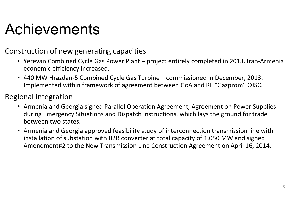# Achievements

#### Construction of new generating capacities

- Yerevan Combined Cycle Gas Power Plant project entirely completed in 2013. Iran-Armenia economic efficiency increased.
- 440 MW Hrazdan-5 Combined Cycle Gas Turbine commissioned in December, 2013. Implemented within framework of agreement between GoA and RF "Gazprom" OJSC.

#### Regional integration

- Armenia and Georgia signed Parallel Operation Agreement, Agreement on Power Supplies during Emergency Situations and Dispatch Instructions, which lays the ground for trade between two states.
- Armenia and Georgia approved feasibility study of interconnection transmission line with installation of substation with B2B converter at total capacity of 1,050 MW and signed Amendment#2 to the New Transmission Line Construction Agreement on April 16, 2014.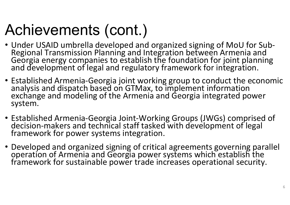# Achievements (cont.)

- Under USAID umbrella developed and organized signing of MoU for Sub-Regional Transmission Planning and Integration between Armenia and<br>Georgia energy companies to establish the foundation for joint planning<br>and development of legal and regulatory framework for integration.
- Established Armenia-Georgia joint working group to conduct the economic analysis and dispatch based on GTMax, to implement information exchange and modeling of the Armenia and Georgia integrated power system.
- Established Armenia-Georgia Joint-Working Groups (JWGs) comprised of decision-makers and technical staff tasked with development of legal framework for power systems integration.
- Developed and organized signing of critical agreements governing parallel operation of Armenia and Georgia power systems which establish the framework for sustainable power trade increases operational security.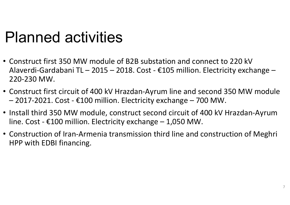### Planned activities

- Construct first 350 MW module of B2B substation and connect to 220 kV Alaverdi-Gardabani TL – 2015 – 2018. Cost - €105 million. Electricity exchange – 220-230 MW.
- Construct first circuit of 400 kV Hrazdan-Ayrum line and second 350 MW module –2017-2021. Cost - €100 million. Electricity exchange – 700 MW.
- Install third 350 MW module, construct second circuit of 400 kV Hrazdan-Ayrum line. Cost -  $\epsilon$ 100 million. Electricity exchange – 1,050 MW.
- Construction of Iran-Armenia transmission third line and construction of Meghri HPP with EDBI financing.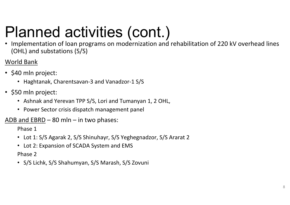# Planned activities (cont.)

 • Implementation of loan programs on modernization and rehabilitation of 220 kV overhead lines (OHL) and substations (S/S)

#### World Bank

- \$40 mln project:
	- Haghtanak, Charentsavan-3 and Vanadzor-1 S/S
- \$50 mln project:
	- Ashnak and Yerevan TPP S/S, Lori and Tumanyan 1, 2 OHL,
	- Power Sector crisis dispatch management panel

#### <u>ADB and EBRD</u> – 80 mln – in two phases:

Phase 1

- Lot 1: S/S Agarak 2, S/S Shinuhayr, S/S Yeghegnadzor, S/S Ararat <sup>2</sup>
- Lot 2: Expansion of SCADA System and EMS

Phase 2

• S/S Lichk, S/S Shahumyan, S/S Marash, S/S Zovuni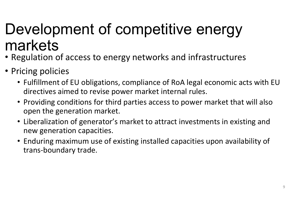# Development of competitive energy markets

- Regulation of access to energy networks and infrastructures
- Pricing policies
	- Fulfillment of EU obligations, compliance of RoA legal economic acts with EU directives aimed to revise power market internal rules.
	- Providing conditions for third parties access to power market that will also open the generation market.
	- Liberalization of generator's market to attract investments in existing and new generation capacities.
	- Enduring maximum use of existing installed capacities upon availability of trans-boundary trade.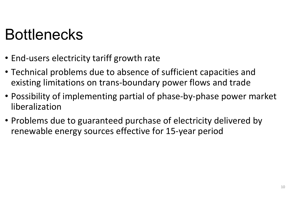### Bottlenecks

- End-users electricity tariff growth rate
- Technical problems due to absence of sufficient capacities and existing limitations on trans-boundary power flows and trade
- Possibility of implementing partial of phase-by-phase power market liberalization
- Problems due to guaranteed purchase of electricity delivered by renewable energy sources effective for 15-year period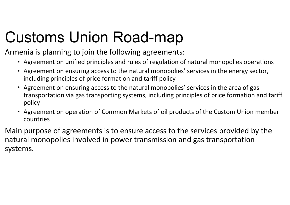# Customs Union Road-map

Armenia is planning to join the following agreements:

- Agreement on unified principles and rules of regulation of natural monopolies operations
- Agreement on ensuring access to the natural monopolies' services in the energy sector, including principles of price formation and tariff policy
- Agreement on ensuring access to the natural monopolies' services in the area of gas transportation via gas transporting systems, including principles of price formation and tariff policy
- $\bullet$  Agreement on operation of Common Markets of oil products of the Custom Union member countries

Main purpose of agreements is to ensure access to the services provided by the natural monopolies involved in power transmission and gas transportation systems.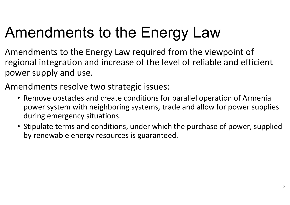# Amendments to the Energy Law

- Amendments to the Energy Law required from the viewpoint of regional integration and increase of the level of reliable and efficient power supply and use.
- Amendments resolve two strategic issues:
	- Remove obstacles and create conditions for parallel operation of Armenia power system with neighboring systems, trade and allow for power supplies during emergency situations.
	- Stipulate terms and conditions, under which the purchase of power, supplied by renewable energy resources is guaranteed.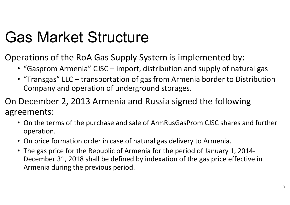# Gas Market Structure

Operations of the RoA Gas Supply System is implemented by:

- "Gasprom Armenia" CJSC import, distribution and supply of natural gas
- "Transgas" LLC transportation of gas from Armenia border to Distribution Company and operation of underground storages.

On December 2, 2013 Armenia and Russia signed the following agreements:

- On the terms of the purchase and sale of ArmRusGasProm CJSC shares and further operation.
- On price formation order in case of natural gas delivery to Armenia.
- The gas price for the Republic of Armenia for the period of January 1, 2014- December 31, 2018 shall be defined by indexation of the gas price effective in Armenia during the previous period.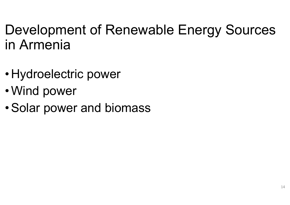#### Development of Renewable Energy Sources in Armenia

- •Hydroelectric power
- •Wind power
- •Solar power and biomass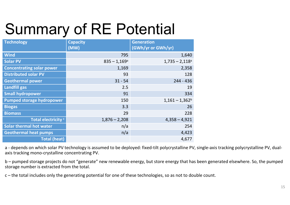# Summary of RE Potential

| <b>Technology</b>                | <b>Capacity</b><br>(MW)    | <b>Generation</b><br>(GWh/yr or GWh/yr) |
|----------------------------------|----------------------------|-----------------------------------------|
| <b>Wind</b>                      | 795                        | 1,640                                   |
| <b>Solar PV</b>                  | $835 - 1,169$ <sup>a</sup> | $1,735 - 2,118$ <sup>a</sup>            |
| <b>Concentrating solar power</b> | 1,169                      | 2,358                                   |
| <b>Distributed solar PV</b>      | 93                         | 128                                     |
| <b>Geothermal power</b>          | $31 - 54$                  | $244 - 436$                             |
| Landfill gas                     | 2.5                        | 19                                      |
| <b>Small hydropower</b>          | 91                         | 334                                     |
| <b>Pumped storage hydropower</b> | 150                        | $1,161 - 1,362^b$                       |
| <b>Biogas</b>                    | 3.3                        | 26                                      |
| <b>Biomass</b>                   | 29                         | 228                                     |
| Total electricity <sup>c</sup>   | $1,876 - 2,208$            | $4,358 - 4,921$                         |
| <b>Solar thermal hot water</b>   | n/a                        | 254                                     |
| <b>Geothermal heat pumps</b>     | n/a                        | 4,423                                   |
| <b>Total (heat)</b>              |                            | 4,677                                   |

a - depends on which solar PV technology is assumed to be deployed: fixed-tilt polycrystalline PV, single-axis tracking polycrystalline PV, dualaxis tracking mono-crystalline concentrating PV.

b – pumped storage projects do not "generate" new renewable energy, but store energy that has been generated elsewhere. So, the pumped storage number is extracted from the total.

c – the total includes only the generating potential for one of these technologies, so as not to double count.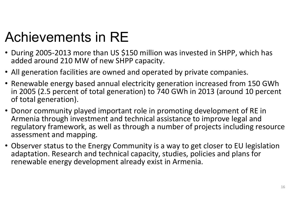#### Achievements in RE

- During 2005-2013 more than US \$150 million was invested in SHPP, which has added around 210 MW of new SHPP capacity.
- All generation facilities are owned and operated by private companies.
- Renewable energy based annual electricity generation increased from 150 GWh in 2005 (2.5 percent of total generation) to 740 GWh in 2013 (around 10 percent of total generation).
- Donor community played important role in promoting development of RE in Armenia through investment and technical assistance to improve legal and regulatory framework, as well as through a number of projects including resource assessment and mapping.
- Observer status to the Energy Community is a way to get closer to EU legislation adaptation. Research and technical capacity, studies, policies and plans for renewable energy development already exist in Armenia.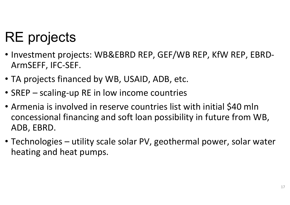### RE projects

- Investment projects: WB&EBRD REP, GEF/WB REP, KfW REP, EBRD- ArmSEFF, IFC-SEF.
- TA projects financed by WB, USAID, ADB, etc.
- SREP scaling-up RE in low income countries
- Armenia is involved in reserve countries list with initial \$40 mln concessional financing and soft loan possibility in future from WB, ADB, EBRD.
- Technologies utility scale solar PV, geothermal power, solar water heating and heat pumps.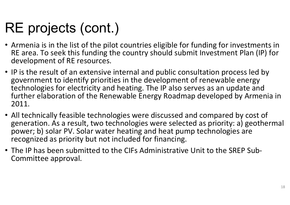#### RE projects (cont.)

- Armenia is in the list of the pilot countries eligible for funding for investments in RE area. To seek this funding the country should submit Investment Plan (IP) for development of RE resources.
- IP is the result of an extensive internal and public consultation process led by government to identify priorities in the development of renewable energy technologies for electricity and heating. The IP also serves as an update and further elaboration of the Renewable Energy Roadmap developed by Armenia in 2011.
- All technically feasible technologies were discussed and compared by cost of generation. As a result, two technologies were selected as priority: a) geothermal power; b) solar PV. Solar water heating and heat pump technologies are recognized as priority but not included for financing.
- The IP has been submitted to the CIFs Administrative Unit to the SREP Sub-Committee approval.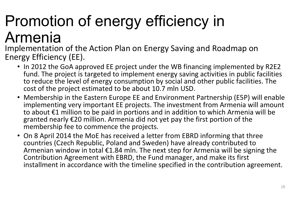# Promotion of energy efficiency in

#### Armenia

 Implementation of the Action Plan on Energy Saving and Roadmap on Energy Efficiency (EE).

- In 2012 the GoA approved EE project under the WB financing implemented by R2E2 fund. The project is targeted to implement energy saving activities in public facilities to reduce the level of energy consumption by social and other public facilities. The cost of the project estimated to be about 10.7 mln USD.
- Membership in the Eastern Europe EE and Environment Partnership (E5P) will enable implementing very important EE projects. The investment from Armenia will amount to about €1 million to be paid in portions and in addition to which Armenia will be granted nearly €20 million. Armenia did not yet pay the first portion of the membership fee to commence the projects.
- On 8 April 2014 the MoE has received a letter from EBRD informing that three countries (Czech Republic, Poland and Sweden) have already contributed to Armenian window in total €1.84 mln. The next step for Armenia will be signing the Contribution Agreement with EBRD, the Fund manager, and make its first installment in accordance with the timeline specified in the contribution agreement.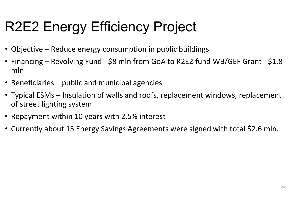### R2E2 Energy Efficiency Project

- Objective Reduce energy consumption in public buildings
- Financing Revolving Fund \$8 mln from GoA to R2E2 fund WB/GEF Grant \$1.8 mln
- Beneficiaries public and municipal agencies
- Typical ESMs Insulation of walls and roofs, replacement windows, replacement of street lighting system
- Repayment within 10 years with 2.5% interest
- Currently about 15 Energy Savings Agreements were signed with total \$2.6 mln.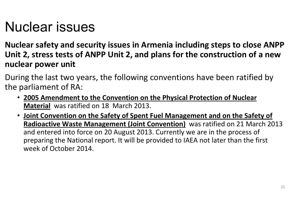#### Nuclear issues

**Nuclear safety and security issues in Armenia including steps to close ANPP Unit 2, stress tests of ANPP Unit 2, and plans for the construction of a new nuclear power unit**

During the last two years, the following conventions have been ratified by the parliament of RA:

- **2005 Amendment to the Convention on the Physical Protection of Nuclear Material** was ratified on 18 March 2013.
- **Joint Convention on the Safety of Spent Fuel Management and on the Safety of Radioactive Waste Management (Joint Convention)** was ratified on 21 March 2013 and entered into force on 20 August 2013. Currently we are in the process of preparing the National report. It will be provided to IAEA not later than the first week of October 2014.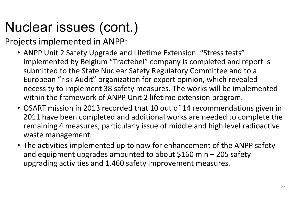### Nuclear issues (cont.)

Projects implemented in ANPP:

- ANPP Unit 2 Safety Upgrade and Lifetime Extension. "Stress tests" implemented by Belgium "Tractebel" company is completed and report is submitted to the State Nuclear Safety Regulatory Committee and to a European "risk Audit" organization for expert opinion, which revealed necessity to implement 38 safety measures. The works will be implemented within the framework of ANPP Unit 2 lifetime extension program.
- OSART mission in 2013 recorded that 10 out of 14 recommendations given in 2011 have been completed and additional works are needed to complete the remaining 4 measures, particularly issue of middle and high level radioactive waste management.
- The activities implemented up to now for enhancement of the ANPP safety and equipment upgrades amounted to about \$160 mln – 205 safety upgrading activities and 1,460 safety improvement measures.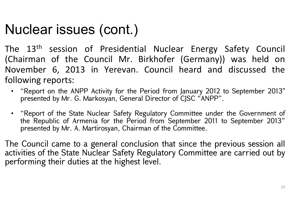#### Nuclear issues (cont.)

The 13<sup>th</sup> session of Presidential Nuclear Energy Safety Council (Chairman of the Council Mr. Birkhofer (Germany)) was held on November 6, 2013 in Yerevan. Council heard and discussed the following reports:

- "Report on the ANPP Activity for the Period from January 2012 to September 2013" presented by Mr. G. Markosyan, General Director of CJSC "ANPP".
- "Report of the State Nuclear Safety Regulatory Committee under the Government of the Republic of Armenia for the Period from September 2011 to September 2013" presented by Mr. A. Martirosyan, Chairman of the Committee.

The Council came to a general conclusion that since the previous session all activities of the State Nuclear Safety Regulatory Committee are carried out by performing their duties at the highest level.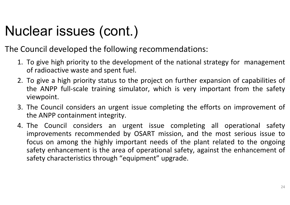### Nuclear issues (cont.)

The Council developed the following recommendations:

- 1. To give high priority to the development of the national strategy for management of radioactive waste and spent fuel.
- 2. To give a high priority status to the project on further expansion of capabilities of the ANPP full-scale training simulator, which is very important from the safety viewpoint.
- 3. The Council considers an urgent issue completing the efforts on improvement of the ANPP containment integrity.
- 4. The Council considers an urgent issue completing all operational safety improvements recommended by OSART mission, and the most serious issue to focus on among the highly important needs of the plant related to the ongoing safety enhancement is the area of operational safety, against the enhancement of safety characteristics through "equipment" upgrade.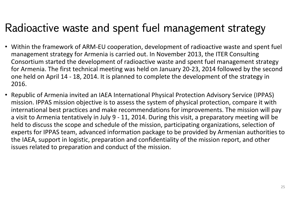#### Radioactive waste and spent fuel management strategy

- Within the framework of ARM-EU cooperation, development of radioactive waste and spent fuel management strategy for Armenia is carried out. In November 2013, the ITER Consulting Consortium started the development of radioactive waste and spent fuel management strategy for Armenia. The first technical meeting was held on January 20-23, 2014 followed by the second one held on April 14 - 18, 2014. It is planned to complete the development of the strategy in 2016.
- Republic of Armenia invited an IAEA International Physical Protection Advisory Service (IPPAS) mission. IPPAS mission objective is to assess the system of physical protection, compare it with international best practices and make recommendations for improvements. The mission will pay a visit to Armenia tentatively in July 9 - 11, 2014. During this visit, a preparatory meeting will be held to discuss the scope and schedule of the mission, participating organizations, selection of experts for IPPAS team, advanced information package to be provided by Armenian authorities to the IAEA, support in logistic, preparation and confidentiality of the mission report, and other issues related to preparation and conduct of the mission.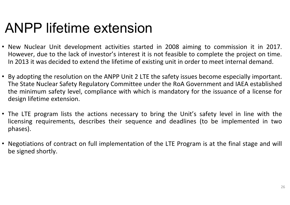#### ANPP lifetime extension

- New Nuclear Unit development activities started in 2008 aiming to commission it in 2017. However, due to the lack of investor's interest it is not feasible to complete the project on time. In 2013 it was decided to extend the lifetime of existing unit in order to meet internal demand.
- By adopting the resolution on the ANPP Unit 2 LTE the safety issues become especially important. The State Nuclear Safety Regulatory Committee under the RoA Government and IAEA established the minimum safety level, compliance with which is mandatory for the issuance of a license for design lifetime extension.
- The LTE program lists the actions necessary to bring the Unit's safety level in line with the licensing requirements, describes their sequence and deadlines (to be implemented in two phases).
- Negotiations of contract on full implementation of the LTE Program is at the final stage and will be signed shortly.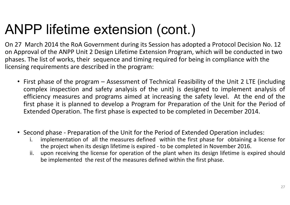#### ANPP lifetime extension (cont.)

On 27 March 2014 the RoA Government during its Session has adopted a Protocol Decision No. 12 on Approval of the ANPP Unit 2 Design Lifetime Extension Program, which will be conducted in two phases. The list of works, their sequence and timing required for being in compliance with the licensing requirements are described in the program:

- First phase of the program Assessment of Technical Feasibility of the Unit 2 LTE (including complex inspection and safety analysis of the unit) is designed to implement analysis of efficiency measures and programs aimed at increasing the safety level. At the end of the first phase it is planned to develop a Program for Preparation of the Unit for the Period of Extended Operation. The first phase is expected to be completed in December 2014.
- Second phase Preparation of the Unit for the Period of Extended Operation includes:
	- i. implementation of all the measures defined within the first phase for obtaining a license for the project when its design lifetime is expired - to be completed in November 2016.
	- ii. upon receiving the license for operation of the plant when its design lifetime is expired should be implemented the rest of the measures defined within the first phase.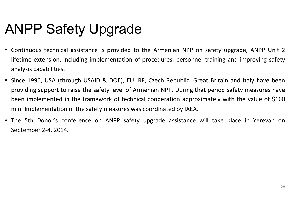#### ANPP Safety Upgrade

- $\bullet$  Continuous technical assistance is provided to the Armenian NPP on safety upgrade, ANPP Unit 2 lifetime extension, including implementation of procedures, personnel training and improving safety analysis capabilities.
- Since 1996, USA (through USAID & DOE), EU, RF, Czech Republic, Great Britain and Italy have been providing support to raise the safety level of Armenian NPP. During that period safety measures have been implemented in the framework of technical cooperation approximately with the value of \$160 mln. Implementation of the safety measures was coordinated by IAEA.
- The 5th Donor's conference on ANPP safety upgrade assistance will take place in Yerevan on September 2-4, 2014.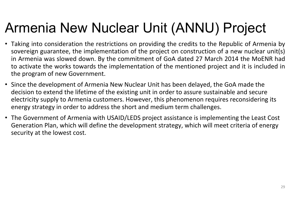#### Armenia New Nuclear Unit (ANNU) Project

- Taking into consideration the restrictions on providing the credits to the Republic of Armenia by sovereign guarantee, the implementation of the project on construction of a new nuclear unit(s) in Armenia was slowed down. By the commitment of GoA dated 27 March 2014 the MoENR had to activate the works towards the implementation of the mentioned project and it is included in the program of new Government.
- Since the development of Armenia New Nuclear Unit has been delayed, the GoA made the decision to extend the lifetime of the existing unit in order to assure sustainable and secure electricity supply to Armenia customers. However, this phenomenon requires reconsidering its energy strategy in order to address the short and medium term challenges.
- The Government of Armenia with USAID/LEDS project assistance is implementing the Least Cost Generation Plan, which will define the development strategy, which will meet criteria of energy security at the lowest cost.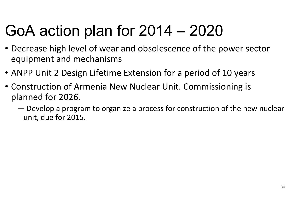# GoA action plan for 2014 – <sup>2020</sup>

- Decrease high level of wear and obsolescence of the power sector equipment and mechanisms
- ANPP Unit 2 Design Lifetime Extension for a period of 10 years
- Construction of Armenia New Nuclear Unit. Commissioning is planned for 2026.
	- ― Develop a program to organize a process for construction of the new nuclear unit, due for 2015.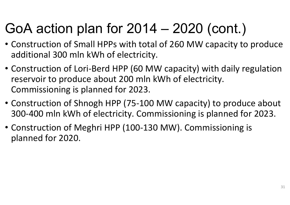### GoA action plan for 2014 – 2020 (cont.)

- Construction of Small HPPs with total of 260 MW capacity to produce additional 300 mln kWh of electricity.
- Construction of Lori-Berd HPP (60 MW capacity) with daily regulation reservoir to produce about 200 mln kWh of electricity. Commissioning is planned for 2023.
- Construction of Shnogh HPP (75-100 MW capacity) to produce about 300-400 mln kWh of electricity. Commissioning is planned for 2023.
- Construction of Meghri HPP (100-130 MW). Commissioning is planned for 2020.